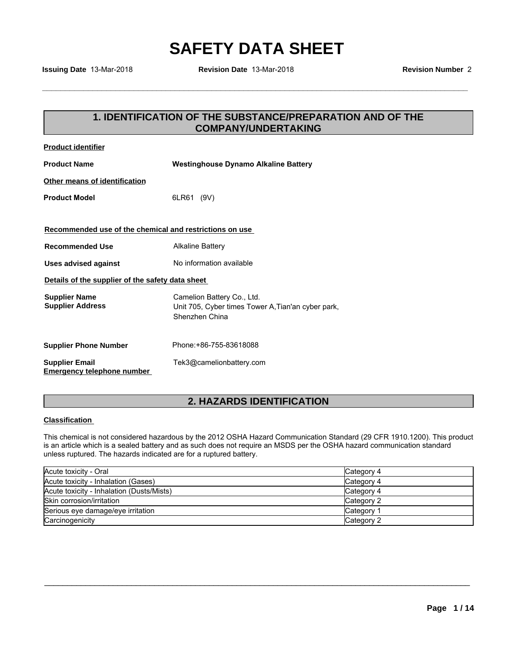**Issuing Date** 13-Mar-2018 **Revision Date** 13-Mar-2018 **Revision Number** 2

### **1.3-Mar-2018**<br> **1. IDENTIFICATION OF THE SUBSTANCE/PREPARATION AND OF THE<br>
COMPANY/UNDERTAKING COMPANY/UNDERTAKING**

| <b>Product identifier</b>                                  |                                                                                                                        |
|------------------------------------------------------------|------------------------------------------------------------------------------------------------------------------------|
| <b>Product Name</b>                                        | <b>Westinghouse Dynamo Alkaline Battery</b>                                                                            |
| Other means of identification                              |                                                                                                                        |
| <b>Product Model</b>                                       | 6LR61 (9V)                                                                                                             |
| Recommended use of the chemical and restrictions on use    |                                                                                                                        |
| <b>Recommended Use</b>                                     | <b>Alkaline Battery</b>                                                                                                |
| <b>Uses advised against</b>                                | No information available                                                                                               |
| Details of the supplier of the safety data sheet           |                                                                                                                        |
| <b>Supplier Name</b><br><b>Supplier Address</b>            | Camelion Battery Co., Ltd.<br>Unit 705, Cyber times Tower A, Tian'an cyber park,<br>Shenzhen China                     |
| <b>Supplier Phone Number</b>                               | Phone: +86-755-83618088                                                                                                |
| <b>Supplier Email</b><br><b>Emergency telephone number</b> | Tek3@camelionbattery.com                                                                                               |
|                                                            | <b>2. HAZARDS IDENTIFICATION</b>                                                                                       |
| <b>Classification</b>                                      |                                                                                                                        |
|                                                            | This chemical is not considered hazardous by the 2012 OSHA Hazard Communication Standard (29 CFR 1910.1200). This prod |

### **Classification**

This chemical is not considered hazardous by the 2012 OSHA Hazard Communication Standard (29 CFR 1910.1200). This product is an article which is a sealed battery and as such does not require an MSDS per the OSHA hazard communication standard unless ruptured. The hazards indicated are for a ruptured battery.

| Acute toxicity - Oral                     | Category 4 |
|-------------------------------------------|------------|
| Acute toxicity - Inhalation (Gases)       | Category 4 |
| Acute toxicity - Inhalation (Dusts/Mists) | Category 4 |
| Skin corrosion/irritation                 | Category 2 |
| Serious eye damage/eye irritation         | Category 1 |
| Carcinogenicity                           | Category 2 |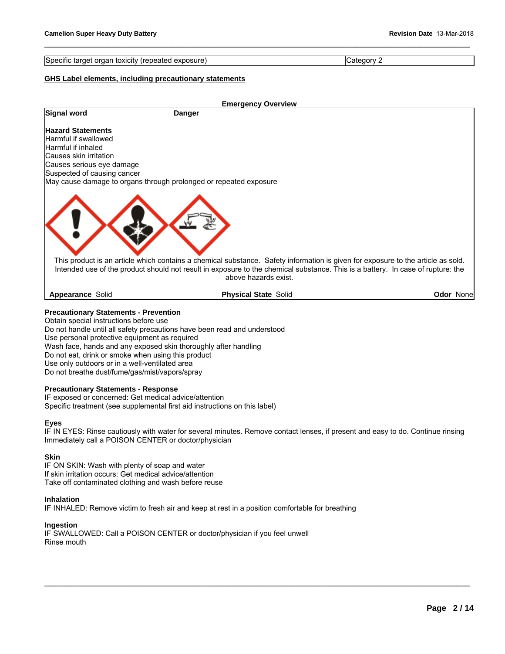Specific target organ toxicity (repeated exposure) Category 2

\_\_\_\_\_\_\_\_\_\_\_\_\_\_\_\_\_\_\_\_\_\_\_\_\_\_\_\_\_\_\_\_\_\_\_\_\_\_\_\_\_\_\_\_\_\_\_\_\_\_\_\_\_\_\_\_\_\_\_\_\_\_\_\_\_\_\_\_\_\_\_\_\_\_\_\_\_\_\_\_\_\_\_\_\_\_\_\_\_\_\_\_\_

### **GHS Label elements, including precautionary statements**

|                                                                   | <b>Emergency Overview</b>                                                                                                                                                                                                                                                                   |                   |
|-------------------------------------------------------------------|---------------------------------------------------------------------------------------------------------------------------------------------------------------------------------------------------------------------------------------------------------------------------------------------|-------------------|
| Signal word                                                       | Danger                                                                                                                                                                                                                                                                                      |                   |
| <b>Hazard Statements</b>                                          |                                                                                                                                                                                                                                                                                             |                   |
| lHarmful if swallowed                                             |                                                                                                                                                                                                                                                                                             |                   |
| Harmful if inhaled                                                |                                                                                                                                                                                                                                                                                             |                   |
| lCauses skin irritation                                           |                                                                                                                                                                                                                                                                                             |                   |
| Causes serious eye damage                                         |                                                                                                                                                                                                                                                                                             |                   |
| Suspected of causing cancer                                       |                                                                                                                                                                                                                                                                                             |                   |
| May cause damage to organs through prolonged or repeated exposure |                                                                                                                                                                                                                                                                                             |                   |
|                                                                   | This product is an article which contains a chemical substance. Safety information is given for exposure to the article as sold.<br>Intended use of the product should not result in exposure to the chemical substance. This is a battery. In case of rupture: the<br>above hazards exist. |                   |
| Appearance Solid                                                  | <b>Physical State Solid</b>                                                                                                                                                                                                                                                                 | <b>Odor Nonel</b> |

Do not handle until all safety precautions have been read and understood Use personal protective equipment as required

Wash face, hands and any exposed skin thoroughly after handling

Do not eat, drink or smoke when using this product

Use only outdoors or in a well-ventilated area

Do not breathe dust/fume/gas/mist/vapors/spray

### **Precautionary Statements - Response**

IF exposed or concerned: Get medical advice/attention Specific treatment (see supplemental first aid instructions on this label)

### **Eyes**

IF IN EYES: Rinse cautiously with water for several minutes. Remove contact lenses, if present and easy to do. Continue rinsing Immediately call a POISON CENTER or doctor/physician

\_\_\_\_\_\_\_\_\_\_\_\_\_\_\_\_\_\_\_\_\_\_\_\_\_\_\_\_\_\_\_\_\_\_\_\_\_\_\_\_\_\_\_\_\_\_\_\_\_\_\_\_\_\_\_\_\_\_\_\_\_\_\_\_\_\_\_\_\_\_\_\_\_\_\_\_\_\_\_\_\_\_\_\_\_\_\_\_\_\_\_\_\_

### **Skin**

IF ON SKIN: Wash with plenty of soap and water If skin irritation occurs: Get medical advice/attention Take off contaminated clothing and wash before reuse

### **Inhalation**

IF INHALED: Remove victim to fresh air and keep at rest in a position comfortable for breathing

### **Ingestion**

IF SWALLOWED: Call a POISON CENTER or doctor/physician if you feel unwell Rinse mouth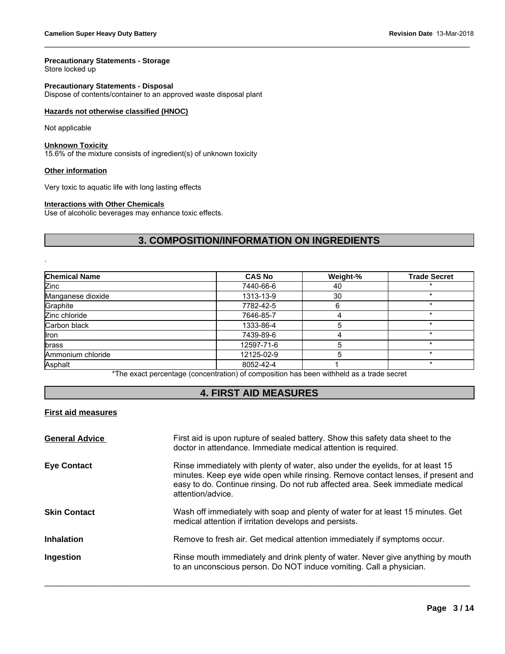### **Precautionary Statements - Storage**

Store locked up

**Precautionary Statements - Disposal** Dispose of contents/container to an approved waste disposal plant

### **Hazards not otherwise classified (HNOC)**

### **Unknown Toxicity**

### **Other information**

### **Interactions with Other Chemicals**

\_\_\_\_\_\_\_\_\_\_\_\_\_\_\_\_\_\_\_\_\_\_\_\_\_\_\_\_\_\_\_\_\_\_\_\_\_\_\_\_\_\_\_\_\_\_\_\_\_\_\_\_\_\_\_\_\_\_\_\_\_\_\_\_\_\_\_\_\_\_\_\_\_\_\_\_\_\_\_\_\_\_\_\_\_\_\_\_\_\_\_\_\_

| Hazards not otherwise classified (HNOC)                                                           |                                                                                          |          |                     |
|---------------------------------------------------------------------------------------------------|------------------------------------------------------------------------------------------|----------|---------------------|
| Not applicable                                                                                    |                                                                                          |          |                     |
| <b>Unknown Toxicity</b><br>15.6% of the mixture consists of ingredient(s) of unknown toxicity     |                                                                                          |          |                     |
| <b>Other information</b>                                                                          |                                                                                          |          |                     |
| Very toxic to aquatic life with long lasting effects                                              |                                                                                          |          |                     |
| <b>Interactions with Other Chemicals</b><br>Use of alcoholic beverages may enhance toxic effects. |                                                                                          |          |                     |
|                                                                                                   | 3. COMPOSITION/INFORMATION ON INGREDIENTS                                                |          |                     |
|                                                                                                   |                                                                                          |          |                     |
|                                                                                                   |                                                                                          |          |                     |
| Chemical Name                                                                                     | <b>CAS No</b>                                                                            | Weight-% | <b>Trade Secret</b> |
|                                                                                                   | 7440-66-6                                                                                | 40       |                     |
|                                                                                                   | 1313-13-9                                                                                | 30       | $\star$             |
|                                                                                                   | 7782-42-5                                                                                | 6        | $\star$             |
|                                                                                                   | 7646-85-7                                                                                | 4        | $\star$             |
|                                                                                                   | 1333-86-4                                                                                | 5        | $\star$             |
|                                                                                                   | 7439-89-6                                                                                | 4        | $\star$             |
| Zinc<br>Manganese dioxide<br>Graphite<br>Zinc chloride<br>Carbon black<br>llron<br>brass          | 12597-71-6                                                                               | 5        | $\star$             |
|                                                                                                   | 12125-02-9                                                                               | 5        | $\star$             |
|                                                                                                   | 8052-42-4                                                                                | 1        | $\star$             |
| Ammonium chloride<br>Asphalt                                                                      | *The exact percentage (concentration) of composition has been withheld as a trade secret |          |                     |

### **First aid measures**

| <b>General Advice</b> | First aid is upon rupture of sealed battery. Show this safety data sheet to the<br>doctor in attendance. Immediate medical attention is required.                                                                                                                          |
|-----------------------|----------------------------------------------------------------------------------------------------------------------------------------------------------------------------------------------------------------------------------------------------------------------------|
| <b>Eye Contact</b>    | Rinse immediately with plenty of water, also under the eyelids, for at least 15<br>minutes. Keep eye wide open while rinsing. Remove contact lenses, if present and<br>easy to do. Continue rinsing. Do not rub affected area. Seek immediate medical<br>attention/advice. |
| <b>Skin Contact</b>   | Wash off immediately with soap and plenty of water for at least 15 minutes. Get<br>medical attention if irritation develops and persists.                                                                                                                                  |
| <b>Inhalation</b>     | Remove to fresh air. Get medical attention immediately if symptoms occur.                                                                                                                                                                                                  |
| Ingestion             | Rinse mouth immediately and drink plenty of water. Never give anything by mouth<br>to an unconscious person. Do NOT induce vomiting. Call a physician.                                                                                                                     |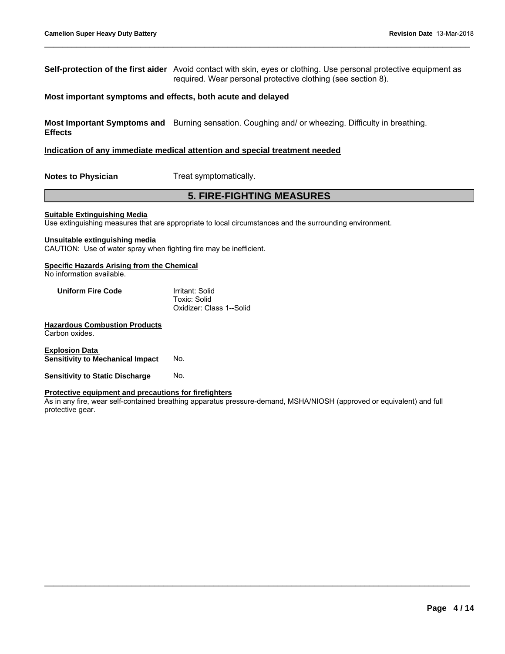**Self-protection of the first aider** Avoid contact with skin, eyes or clothing. Use personal protective equipment as required. Wear personal protective clothing (see section 8). id contact with skin, eyes or clothing. Use personal protective equipment a<br>
ired. Wear personal protective clothing (see section 8).<br> **5. both acute and delayed**<br>
ing sensation. Coughing and/ or wheezing. Difficulty in br

\_\_\_\_\_\_\_\_\_\_\_\_\_\_\_\_\_\_\_\_\_\_\_\_\_\_\_\_\_\_\_\_\_\_\_\_\_\_\_\_\_\_\_\_\_\_\_\_\_\_\_\_\_\_\_\_\_\_\_\_\_\_\_\_\_\_\_\_\_\_\_\_\_\_\_\_\_\_\_\_\_\_\_\_\_\_\_\_\_\_\_\_\_

### **Most important symptoms and effects, both acute and delayed**

**Most Important Symptoms and** Burning sensation. Coughing and/ or wheezing. Difficulty in breathing. **Effects**

### **Indication of any immediate medical attention and special treatment needed**

**Notes to Physician** Treat symptomatically.

### **Suitable Extinguishing Media**

Use extinguishing measures that are appropriate to local circumstances and the surrounding environment.

### **Unsuitable extinguishing media**

CAUTION: Use of water spray when fighting fire may be inefficient.

### **Specific Hazards Arising from the Chemical**

No information available.

| <b>Uniform Fire Code</b> | Irritant: Solid          |  |
|--------------------------|--------------------------|--|
|                          | Toxic: Solid             |  |
|                          | Oxidizer: Class 1--Solid |  |

### **Hazardous Combustion Products** Carbon oxides.

**Explosion Data Sensitivity to Mechanical Impact** No.

**Sensitivity to Static Discharge No.** 

### **Protective equipment and precautions for firefighters**

As in any fire, wear self-contained breathing apparatus pressure-demand, MSHA/NIOSH (approved or equivalent) and full protective gear.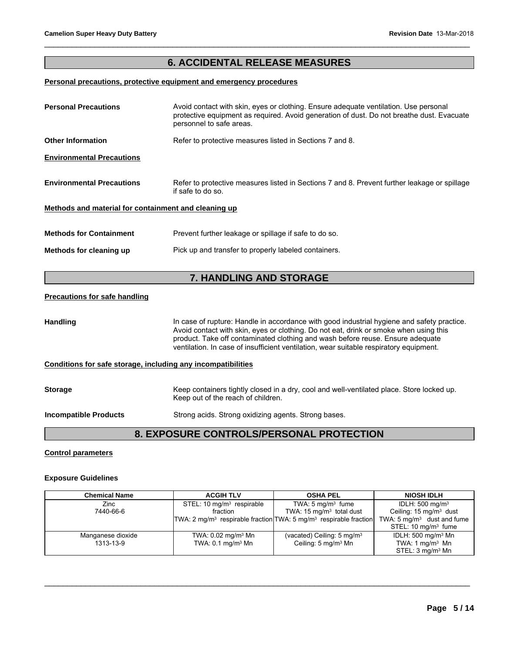# Revision Date 13-Mar-2018<br> **6. ACCIDENTAL RELEASE MEASURES**<br> **ACCIDENTAL RELEASE MEASURES**

\_\_\_\_\_\_\_\_\_\_\_\_\_\_\_\_\_\_\_\_\_\_\_\_\_\_\_\_\_\_\_\_\_\_\_\_\_\_\_\_\_\_\_\_\_\_\_\_\_\_\_\_\_\_\_\_\_\_\_\_\_\_\_\_\_\_\_\_\_\_\_\_\_\_\_\_\_\_\_\_\_\_\_\_\_\_\_\_\_\_\_\_\_

### **Personal precautions, protective equipment and emergency procedures**

| <b>Personal Precautions</b>                                  | Avoid contact with skin, eyes or clothing. Ensure adequate ventilation. Use personal<br>protective equipment as required. Avoid generation of dust. Do not breathe dust. Evacuate<br>personnel to safe areas.                                                                                                                                                   |
|--------------------------------------------------------------|-----------------------------------------------------------------------------------------------------------------------------------------------------------------------------------------------------------------------------------------------------------------------------------------------------------------------------------------------------------------|
| <b>Other Information</b>                                     | Refer to protective measures listed in Sections 7 and 8.                                                                                                                                                                                                                                                                                                        |
| <b>Environmental Precautions</b>                             |                                                                                                                                                                                                                                                                                                                                                                 |
| <b>Environmental Precautions</b>                             | Refer to protective measures listed in Sections 7 and 8. Prevent further leakage or spillage<br>if safe to do so.                                                                                                                                                                                                                                               |
| Methods and material for containment and cleaning up         |                                                                                                                                                                                                                                                                                                                                                                 |
| <b>Methods for Containment</b>                               | Prevent further leakage or spillage if safe to do so.                                                                                                                                                                                                                                                                                                           |
| Methods for cleaning up                                      | Pick up and transfer to properly labeled containers.                                                                                                                                                                                                                                                                                                            |
|                                                              |                                                                                                                                                                                                                                                                                                                                                                 |
|                                                              | 7. HANDLING AND STORAGE                                                                                                                                                                                                                                                                                                                                         |
| <b>Precautions for safe handling</b>                         |                                                                                                                                                                                                                                                                                                                                                                 |
| Handling                                                     | In case of rupture: Handle in accordance with good industrial hygiene and safety practice.<br>Avoid contact with skin, eyes or clothing. Do not eat, drink or smoke when using this<br>product. Take off contaminated clothing and wash before reuse. Ensure adequate<br>ventilation. In case of insufficient ventilation, wear suitable respiratory equipment. |
| Conditions for safe storage, including any incompatibilities |                                                                                                                                                                                                                                                                                                                                                                 |
| <b>Storage</b>                                               | Keep containers tightly closed in a dry, cool and well-ventilated place. Store locked up.<br>Keep out of the reach of children.                                                                                                                                                                                                                                 |
| <b>Incompatible Products</b>                                 | Strong acids. Strong oxidizing agents. Strong bases.                                                                                                                                                                                                                                                                                                            |
|                                                              | 8. EXPOSURE CONTROLS/PERSONAL PROTECTION                                                                                                                                                                                                                                                                                                                        |
| <b>Control parameters</b>                                    |                                                                                                                                                                                                                                                                                                                                                                 |
|                                                              |                                                                                                                                                                                                                                                                                                                                                                 |

### **Control parameters**

### **Exposure Guidelines**

| <b>Chemical Name</b> | <b>ACGIH TLV</b>                                                      | <b>OSHA PEL</b>                        | <b>NIOSH IDLH</b>                     |  |
|----------------------|-----------------------------------------------------------------------|----------------------------------------|---------------------------------------|--|
| Zinc                 | STEL: 10 $mg/m3$ respirable                                           | TWA: $5 \text{ mg/m}^3$ fume           | IDLH: $500 \text{ mg/m}^3$            |  |
| 7440-66-6            | fraction                                                              | TWA: $15 \text{ mg/m}^3$ total dust    | Ceiling: $15 \text{ mg/m}^3$ dust     |  |
|                      | $TWA: 2 mg/m3$ respirable fraction $TWA: 5 mg/m3$ respirable fraction |                                        | TWA: $5 \text{ mg/m}^3$ dust and fume |  |
|                      |                                                                       |                                        | STEL: $10 \text{ mg/m}^3$ fume        |  |
| Manganese dioxide    | TWA: 0.02 mg/m <sup>3</sup> Mn                                        | (vacated) Ceiling: $5 \text{ mg/m}^3$  | IDLH: 500 mg/m <sup>3</sup> Mn        |  |
| 1313-13-9            | TWA: $0.1 \text{ mg/m}^3$ Mn                                          | Ceiling: $5 \text{ mg/m}^3 \text{ Mn}$ | TWA: 1 $mq/m3$ Mn                     |  |
|                      |                                                                       |                                        | STEL: 3 mg/m <sup>3</sup> Mn          |  |
|                      |                                                                       |                                        |                                       |  |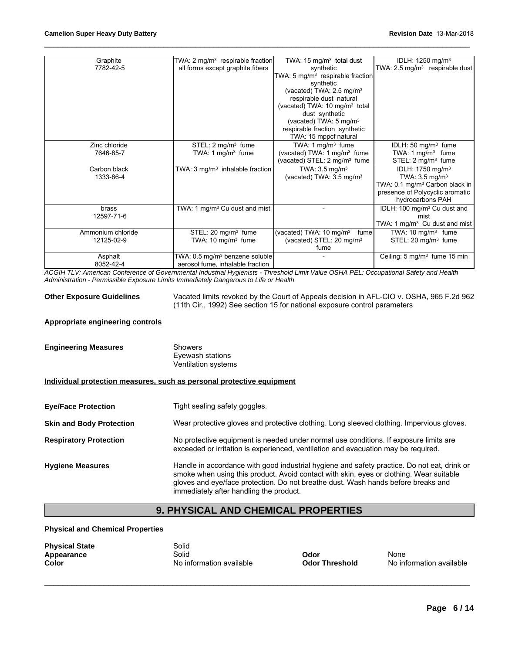| Graphite          | TWA: 2 mg/m <sup>3</sup> respirable fraction | TWA: 15 mg/m <sup>3</sup> total dust         | IDLH: 1250 mg/m <sup>3</sup>               |
|-------------------|----------------------------------------------|----------------------------------------------|--------------------------------------------|
| 7782-42-5         | all forms except graphite fibers             | synthetic                                    | TWA: 2.5 mg/m <sup>3</sup> respirable dust |
|                   |                                              | TWA: 5 mg/m <sup>3</sup> respirable fraction |                                            |
|                   |                                              | synthetic                                    |                                            |
|                   |                                              | (vacated) TWA: 2.5 mg/m <sup>3</sup>         |                                            |
|                   |                                              | respirable dust natural                      |                                            |
|                   |                                              | (vacated) TWA: 10 mg/m <sup>3</sup> total    |                                            |
|                   |                                              | dust synthetic                               |                                            |
|                   |                                              | (vacated) TWA: 5 mg/m <sup>3</sup>           |                                            |
|                   |                                              | respirable fraction synthetic                |                                            |
|                   |                                              | TWA: 15 mppcf natural                        |                                            |
| Zinc chloride     | STEL: $2 \text{ mg/m}^3$ fume                | TWA: 1 mg/m <sup>3</sup> fume                | IDLH: 50 mg/m <sup>3</sup> fume            |
| 7646-85-7         | TWA: 1 mg/m $3$ fume                         | (vacated) TWA: 1 mg/m <sup>3</sup> fume      | TWA: $1 \text{ mg/m}^3$ fume               |
|                   |                                              | (vacated) STEL: 2 mg/m <sup>3</sup> fume     | STEL: 2 mg/m <sup>3</sup> fume             |
| Carbon black      | TWA: $3 \text{ mg/m}^3$ inhalable fraction   | TWA: $3.5 \text{ mg/m}^3$                    | IDLH: 1750 mg/m <sup>3</sup>               |
| 1333-86-4         |                                              | (vacated) TWA: 3.5 mg/m <sup>3</sup>         | TWA: $3.5 \text{ mg/m}^3$                  |
|                   |                                              |                                              | TWA: 0.1 mg/m <sup>3</sup> Carbon black in |
|                   |                                              |                                              | presence of Polycyclic aromatic            |
|                   |                                              |                                              | hydrocarbons PAH                           |
| brass             | TWA: 1 mg/m <sup>3</sup> Cu dust and mist    |                                              | IDLH: 100 mg/m <sup>3</sup> Cu dust and    |
| 12597-71-6        |                                              |                                              | mist                                       |
|                   |                                              |                                              | TWA: 1 mg/m <sup>3</sup> Cu dust and mist  |
| Ammonium chloride | STEL: 20 mg/m <sup>3</sup> fume              | (vacated) TWA: 10 mg/m <sup>3</sup><br>fume  | TWA: $10 \text{ mg/m}^3$ fume              |
| 12125-02-9        | TWA: $10 \text{ mg/m}^3$ fume                | (vacated) STEL: 20 mg/m <sup>3</sup>         | STEL: 20 mg/m <sup>3</sup> fume            |
|                   |                                              | fume                                         |                                            |
| Asphalt           | TWA: 0.5 mg/m <sup>3</sup> benzene soluble   |                                              | Ceiling: $5 \text{ mg/m}^3$ fume 15 min    |
| 8052-42-4         | aerosol fume, inhalable fraction             |                                              |                                            |
|                   |                                              |                                              |                                            |

\_\_\_\_\_\_\_\_\_\_\_\_\_\_\_\_\_\_\_\_\_\_\_\_\_\_\_\_\_\_\_\_\_\_\_\_\_\_\_\_\_\_\_\_\_\_\_\_\_\_\_\_\_\_\_\_\_\_\_\_\_\_\_\_\_\_\_\_\_\_\_\_\_\_\_\_\_\_\_\_\_\_\_\_\_\_\_\_\_\_\_\_\_

*ACGIH TLV: American Conference of Governmental Industrial Hygienists - Threshold Limit Value OSHA PEL: Occupational Safety and Health Administration - Permissible Exposure Limits Immediately Dangerous to Life or Health*

**Other Exposure Guidelines** Vacated limits revoked by the Court of Appeals decision in AFL-CIO v. OSHA, 965 F.2d 962 (11th Cir., 1992) See section 15 for national exposure control parameters

### **Appropriate engineering controls**

| <b>Engineering Measures</b> | Showers             |  |
|-----------------------------|---------------------|--|
|                             | Eyewash stations    |  |
|                             | Ventilation systems |  |

### **Individual protection measures, such as personal protective equipment**

|                                         | Eyewash stations<br>Ventilation systems                                                                                                                                                                                                                                                                                |
|-----------------------------------------|------------------------------------------------------------------------------------------------------------------------------------------------------------------------------------------------------------------------------------------------------------------------------------------------------------------------|
|                                         | Individual protection measures, such as personal protective equipment                                                                                                                                                                                                                                                  |
| <b>Eye/Face Protection</b>              | Tight sealing safety goggles.                                                                                                                                                                                                                                                                                          |
| <b>Skin and Body Protection</b>         | Wear protective gloves and protective clothing. Long sleeved clothing. Impervious gloves.                                                                                                                                                                                                                              |
| <b>Respiratory Protection</b>           | No protective equipment is needed under normal use conditions. If exposure limits are<br>exceeded or irritation is experienced, ventilation and evacuation may be required.                                                                                                                                            |
| <b>Hygiene Measures</b>                 | Handle in accordance with good industrial hygiene and safety practice. Do not eat, drink or<br>smoke when using this product. Avoid contact with skin, eyes or clothing. Wear suitable<br>gloves and eye/face protection. Do not breathe dust. Wash hands before breaks and<br>immediately after handling the product. |
|                                         | <b>9. PHYSICAL AND CHEMICAL PROPERTIES</b>                                                                                                                                                                                                                                                                             |
| <b>Physical and Chemical Properties</b> |                                                                                                                                                                                                                                                                                                                        |
| <b>Physical State</b>                   | Solid                                                                                                                                                                                                                                                                                                                  |

### **Physical and Chemical Properties**

| <b>Physical State</b><br>Appearance<br>Color | Solid<br>Solid<br>No information available | Odor<br><b>Odor Threshold</b> | None<br>No information available |
|----------------------------------------------|--------------------------------------------|-------------------------------|----------------------------------|
|                                              |                                            |                               |                                  |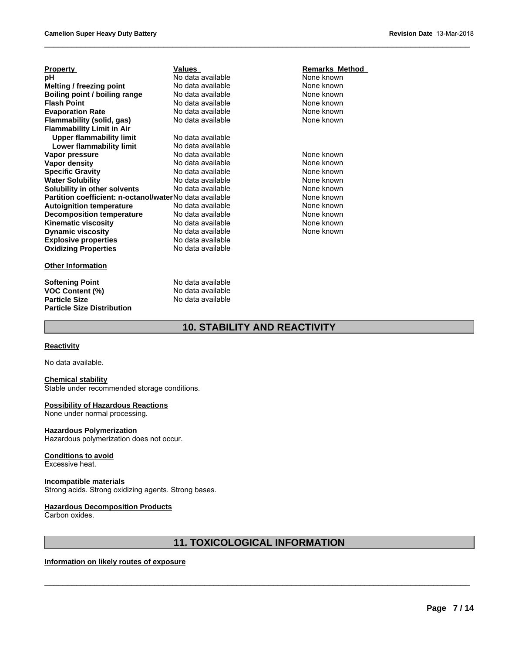| <b>Property</b>                                         | <b>Values</b>                       | <b>Remarks Method</b> |
|---------------------------------------------------------|-------------------------------------|-----------------------|
| рH                                                      | No data available                   | None known            |
| <b>Melting / freezing point</b>                         | No data available                   | None known            |
| Boiling point / boiling range                           | No data available                   | None known            |
| <b>Flash Point</b>                                      | No data available                   | None known            |
| <b>Evaporation Rate</b>                                 | No data available                   | None known            |
| Flammability (solid, gas)                               | No data available                   | None known            |
| <b>Flammability Limit in Air</b>                        |                                     |                       |
| <b>Upper flammability limit</b>                         | No data available                   |                       |
| Lower flammability limit                                | No data available                   |                       |
| Vapor pressure                                          | No data available                   | None known            |
| <b>Vapor density</b>                                    | No data available                   | None known            |
| <b>Specific Gravity</b>                                 | No data available                   | None known            |
| <b>Water Solubility</b>                                 | No data available                   | None known            |
| Solubility in other solvents                            | No data available                   | None known            |
| Partition coefficient: n-octanol/waterNo data available |                                     | None known            |
| <b>Autoignition temperature</b>                         | No data available                   | None known            |
| <b>Decomposition temperature</b>                        | No data available                   | None known            |
| <b>Kinematic viscosity</b>                              | No data available                   | None known            |
| <b>Dynamic viscosity</b>                                | No data available                   | None known            |
| <b>Explosive properties</b>                             | No data available                   |                       |
| <b>Oxidizing Properties</b>                             | No data available                   |                       |
| <b>Other Information</b>                                |                                     |                       |
| <b>Softening Point</b>                                  | No data available                   |                       |
| <b>VOC Content (%)</b>                                  | No data available                   |                       |
| <b>Particle Size</b>                                    | No data available                   |                       |
| <b>Particle Size Distribution</b>                       |                                     |                       |
|                                                         | <b>10. STABILITY AND REACTIVITY</b> |                       |
| <b>Reactivity</b>                                       |                                     |                       |
| No data available.                                      |                                     |                       |

### **Other Information**

### **Remarks Method**<br>None known **None known**<br>None known **None known**<br>None known

\_\_\_\_\_\_\_\_\_\_\_\_\_\_\_\_\_\_\_\_\_\_\_\_\_\_\_\_\_\_\_\_\_\_\_\_\_\_\_\_\_\_\_\_\_\_\_\_\_\_\_\_\_\_\_\_\_\_\_\_\_\_\_\_\_\_\_\_\_\_\_\_\_\_\_\_\_\_\_\_\_\_\_\_\_\_\_\_\_\_\_\_\_

### **Reactivity**

### **Chemical stability**

Stable under recommended storage conditions.

### **Possibility of Hazardous Reactions**

None under normal processing.

### **Hazardous Polymerization**

Hazardous polymerization does not occur.

### **Conditions to avoid**

Excessive heat.

### **Incompatible materials**

Strong acids. Strong oxidizing agents. Strong bases.

### **Hazardous Decomposition Products** Carbon oxides.

<sub>ur</sub><br>|<br>| 11. TOXICOLOGICAL INFORMATION<br>| <u>11. TOXICOLOGICAL INFORMATION</u>

\_\_\_\_\_\_\_\_\_\_\_\_\_\_\_\_\_\_\_\_\_\_\_\_\_\_\_\_\_\_\_\_\_\_\_\_\_\_\_\_\_\_\_\_\_\_\_\_\_\_\_\_\_\_\_\_\_\_\_\_\_\_\_\_\_\_\_\_\_\_\_\_\_\_\_\_\_\_\_\_\_\_\_\_\_\_\_\_\_\_\_\_\_

### **Information on likely routes of exposure**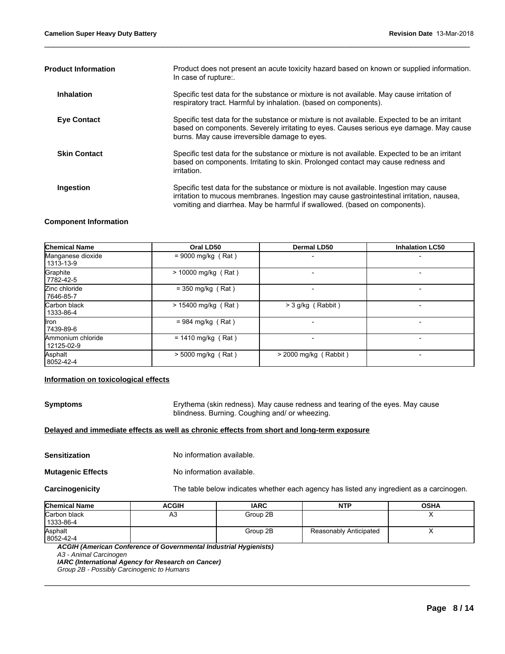| Product does not present an acute toxicity hazard based on known or supplied information.<br>In case of rupture:.                                                                                                                                               |
|-----------------------------------------------------------------------------------------------------------------------------------------------------------------------------------------------------------------------------------------------------------------|
| Specific test data for the substance or mixture is not available. May cause irritation of<br>respiratory tract. Harmful by inhalation. (based on components).                                                                                                   |
| Specific test data for the substance or mixture is not available. Expected to be an irritant<br>based on components. Severely irritating to eyes. Causes serious eye damage. May cause<br>burns. May cause irreversible damage to eyes.                         |
| Specific test data for the substance or mixture is not available. Expected to be an irritant<br>based on components. Irritating to skin. Prolonged contact may cause redness and<br>irritation.                                                                 |
| Specific test data for the substance or mixture is not available. Ingestion may cause<br>irritation to mucous membranes. Ingestion may cause gastrointestinal irritation, nausea,<br>vomiting and diarrhea. May be harmful if swallowed. (based on components). |
|                                                                                                                                                                                                                                                                 |

\_\_\_\_\_\_\_\_\_\_\_\_\_\_\_\_\_\_\_\_\_\_\_\_\_\_\_\_\_\_\_\_\_\_\_\_\_\_\_\_\_\_\_\_\_\_\_\_\_\_\_\_\_\_\_\_\_\_\_\_\_\_\_\_\_\_\_\_\_\_\_\_\_\_\_\_\_\_\_\_\_\_\_\_\_\_\_\_\_\_\_\_\_

### **Component Information**

| <b>Chemical Name</b>            | Oral LD50             | <b>Dermal LD50</b>      | <b>Inhalation LC50</b>   |
|---------------------------------|-----------------------|-------------------------|--------------------------|
| Manganese dioxide<br>1313-13-9  | $= 9000$ mg/kg (Rat)  |                         | $\overline{\phantom{0}}$ |
| Graphite<br>7782-42-5           | $> 10000$ mg/kg (Rat) |                         |                          |
| Zinc chloride<br>7646-85-7      | $=$ 350 mg/kg (Rat)   |                         |                          |
| Carbon black<br>1333-86-4       | $> 15400$ mg/kg (Rat) | $>$ 3 g/kg (Rabbit)     |                          |
| llron<br>7439-89-6              | $= 984$ mg/kg (Rat)   |                         |                          |
| Ammonium chloride<br>12125-02-9 | $= 1410$ mg/kg (Rat)  |                         |                          |
| Asphalt<br>8052-42-4            | > 5000 mg/kg (Rat)    | $>$ 2000 mg/kg (Rabbit) |                          |

### **Information on toxicological effects**

**Symptoms** Erythema (skin redness). May cause redness and tearing of the eyes. May cause blindness. Burning. Coughing and/ or wheezing.

### **Delayed and immediate effects as well as chronic effects from short and long-term exposure**

| <b>Sensitization</b> | No information available. |
|----------------------|---------------------------|
|----------------------|---------------------------|

**Mutagenic Effects** No information available.

**Carcinogenicity** The table below indicates whether each agency has listed any ingredient as a carcinogen.

| <b>Chemical Name</b>      | <b>ACGIH</b> | <b>IARC</b> | <b>NTP</b>             | <b>OSHA</b> |
|---------------------------|--------------|-------------|------------------------|-------------|
| Carbon black<br>1333-86-4 | A3           | Group 2B    |                        |             |
| Asphalt<br>8052-42-4      |              | Group 2B    | Reasonably Anticipated |             |

\_\_\_\_\_\_\_\_\_\_\_\_\_\_\_\_\_\_\_\_\_\_\_\_\_\_\_\_\_\_\_\_\_\_\_\_\_\_\_\_\_\_\_\_\_\_\_\_\_\_\_\_\_\_\_\_\_\_\_\_\_\_\_\_\_\_\_\_\_\_\_\_\_\_\_\_\_\_\_\_\_\_\_\_\_\_\_\_\_\_\_\_\_

*ACGIH (American Conference of Governmental Industrial Hygienists)*

*IARC (International Agency for Research on Cancer)*

*Group 2B - Possibly Carcinogenic to Humans*

*A3 - Animal Carcinogen*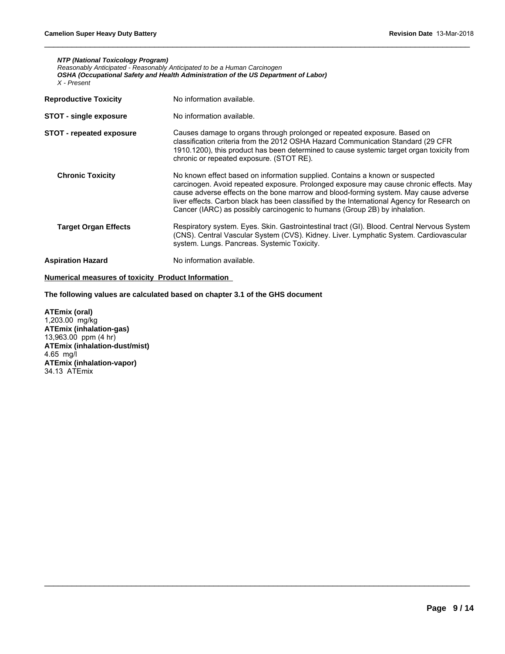*NTP (National Toxicology Program) Reasonably Anticipated - Reasonably Anticipated to be a Human Carcinogen OSHA (Occupational Safety and Health Administration of the US Department of Labor) X - Present*

| <b>Reproductive Toxicity</b>    | No information available.                                                                                                                                                                                                                                                                                                                                                                                                                   |
|---------------------------------|---------------------------------------------------------------------------------------------------------------------------------------------------------------------------------------------------------------------------------------------------------------------------------------------------------------------------------------------------------------------------------------------------------------------------------------------|
| <b>STOT - single exposure</b>   | No information available.                                                                                                                                                                                                                                                                                                                                                                                                                   |
| <b>STOT - repeated exposure</b> | Causes damage to organs through prolonged or repeated exposure. Based on<br>classification criteria from the 2012 OSHA Hazard Communication Standard (29 CFR<br>1910.1200), this product has been determined to cause systemic target organ toxicity from<br>chronic or repeated exposure. (STOT RE).                                                                                                                                       |
| <b>Chronic Toxicity</b>         | No known effect based on information supplied. Contains a known or suspected<br>carcinogen. Avoid repeated exposure. Prolonged exposure may cause chronic effects. May<br>cause adverse effects on the bone marrow and blood-forming system. May cause adverse<br>liver effects. Carbon black has been classified by the International Agency for Research on<br>Cancer (IARC) as possibly carcinogenic to humans (Group 2B) by inhalation. |
| <b>Target Organ Effects</b>     | Respiratory system. Eyes. Skin. Gastrointestinal tract (GI). Blood. Central Nervous System<br>(CNS). Central Vascular System (CVS). Kidney. Liver. Lymphatic System. Cardiovascular<br>system. Lungs. Pancreas. Systemic Toxicity.                                                                                                                                                                                                          |
| <b>Aspiration Hazard</b>        | No information available.                                                                                                                                                                                                                                                                                                                                                                                                                   |

\_\_\_\_\_\_\_\_\_\_\_\_\_\_\_\_\_\_\_\_\_\_\_\_\_\_\_\_\_\_\_\_\_\_\_\_\_\_\_\_\_\_\_\_\_\_\_\_\_\_\_\_\_\_\_\_\_\_\_\_\_\_\_\_\_\_\_\_\_\_\_\_\_\_\_\_\_\_\_\_\_\_\_\_\_\_\_\_\_\_\_\_\_

\_\_\_\_\_\_\_\_\_\_\_\_\_\_\_\_\_\_\_\_\_\_\_\_\_\_\_\_\_\_\_\_\_\_\_\_\_\_\_\_\_\_\_\_\_\_\_\_\_\_\_\_\_\_\_\_\_\_\_\_\_\_\_\_\_\_\_\_\_\_\_\_\_\_\_\_\_\_\_\_\_\_\_\_\_\_\_\_\_\_\_\_\_

### **Numerical measures of toxicity Product Information**

**The following values are calculated based on chapter 3.1 of the GHS document**

**ATEmix (oral)** 1,203.00 mg/kg **ATEmix (inhalation-gas)** 13,963.00 ppm (4 hr) **ATEmix (inhalation-dust/mist)** 4.65 mg/l **ATEmix (inhalation-vapor)** 34.13 ATEmix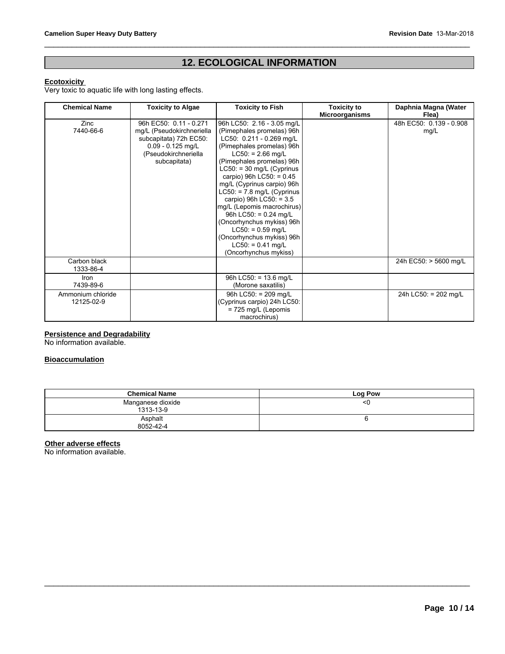# Revision Date 13-Mar-2018<br> **12. ECOLOGICAL INFORMATION**

\_\_\_\_\_\_\_\_\_\_\_\_\_\_\_\_\_\_\_\_\_\_\_\_\_\_\_\_\_\_\_\_\_\_\_\_\_\_\_\_\_\_\_\_\_\_\_\_\_\_\_\_\_\_\_\_\_\_\_\_\_\_\_\_\_\_\_\_\_\_\_\_\_\_\_\_\_\_\_\_\_\_\_\_\_\_\_\_\_\_\_\_\_

### **Ecotoxicity**

Very toxic to aquatic life with long lasting effects.

| <b>Chemical Name</b>            | <b>Toxicity to Algae</b>                                                                                                                     | <b>Toxicity to Fish</b>                                                                                                                                                                                                                                                                                                                                                                                                                                                                                               | <b>Toxicity to</b><br><b>Microorganisms</b> | Daphnia Magna (Water<br>Flea)   |
|---------------------------------|----------------------------------------------------------------------------------------------------------------------------------------------|-----------------------------------------------------------------------------------------------------------------------------------------------------------------------------------------------------------------------------------------------------------------------------------------------------------------------------------------------------------------------------------------------------------------------------------------------------------------------------------------------------------------------|---------------------------------------------|---------------------------------|
| Zinc<br>7440-66-6               | 96h EC50: 0.11 - 0.271<br>mg/L (Pseudokirchneriella<br>subcapitata) 72h EC50:<br>$0.09 - 0.125$ mg/L<br>(Pseudokirchneriella<br>subcapitata) | 96h LC50: 2.16 - 3.05 mg/L<br>(Pimephales promelas) 96h<br>LC50: 0.211 - 0.269 mg/L<br>(Pimephales promelas) 96h<br>$LC50: = 2.66$ mg/L<br>(Pimephales promelas) 96h<br>$LC50$ : = 30 mg/L (Cyprinus<br>carpio) 96h LC50: = $0.45$<br>mg/L (Cyprinus carpio) 96h<br>$LC50: = 7.8$ mg/L (Cyprinus<br>carpio) 96h LC50: = 3.5<br>mg/L (Lepomis macrochirus)<br>96h LC50: = $0.24$ mg/L<br>(Oncorhynchus mykiss) 96h<br>$LC50: = 0.59$ mg/L<br>(Oncorhynchus mykiss) 96h<br>$LC50: = 0.41$ mg/L<br>(Oncorhynchus mykiss) |                                             | 48h EC50: 0.139 - 0.908<br>mg/L |
| Carbon black<br>1333-86-4       |                                                                                                                                              |                                                                                                                                                                                                                                                                                                                                                                                                                                                                                                                       |                                             | 24h EC50: > 5600 mg/L           |
| Iron<br>7439-89-6               |                                                                                                                                              | 96h LC50: = $13.6$ mg/L<br>(Morone saxatilis)                                                                                                                                                                                                                                                                                                                                                                                                                                                                         |                                             |                                 |
| Ammonium chloride<br>12125-02-9 |                                                                                                                                              | 96h LC50: = 209 mg/L<br>(Cyprinus carpio) 24h LC50:<br>$= 725$ mg/L (Lepomis<br>macrochirus)                                                                                                                                                                                                                                                                                                                                                                                                                          |                                             | 24h LC50: = 202 mg/L            |

### **Persistence and Degradability**

No information available.

### **Bioaccumulation**

| <b>Chemical Name</b>           | Log Pow |
|--------------------------------|---------|
| Manganese dioxide<br>1313-13-9 | <0      |
| Asphalt<br>8052-42-4           |         |

\_\_\_\_\_\_\_\_\_\_\_\_\_\_\_\_\_\_\_\_\_\_\_\_\_\_\_\_\_\_\_\_\_\_\_\_\_\_\_\_\_\_\_\_\_\_\_\_\_\_\_\_\_\_\_\_\_\_\_\_\_\_\_\_\_\_\_\_\_\_\_\_\_\_\_\_\_\_\_\_\_\_\_\_\_\_\_\_\_\_\_\_\_

### **Other adverse effects**

No information available.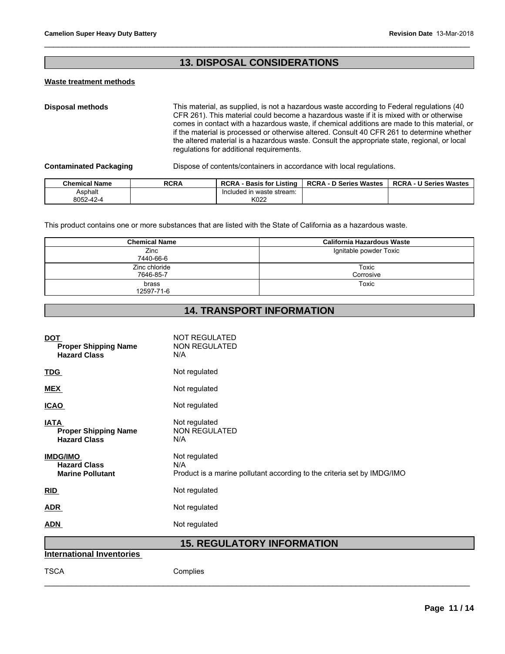# Revision Date 13-Mar-20<br> **13. DISPOSAL CONSIDERATIONS**

### **Waste treatment methods**

**Disposal methods** This material, as supplied, is not a hazardous waste according to Federal regulations (40 CFR 261). This material could become a hazardous waste if it is mixed with or otherwise comes in contact with a hazardous waste, if chemical additions are made to this material, or if the material is processed or otherwise altered. Consult 40 CFR 261 to determine whether the altered material is a hazardous waste. Consult the appropriate state, regional, or local regulations for additional requirements. **Chemical Name RCRA** Supplied, is not a hazardous waste according to Federal regulations (40<br>
CFR 261). This material could become a hazardous waste if it is mixed with or otherwise<br>
comes in contact with a hazardous waste

\_\_\_\_\_\_\_\_\_\_\_\_\_\_\_\_\_\_\_\_\_\_\_\_\_\_\_\_\_\_\_\_\_\_\_\_\_\_\_\_\_\_\_\_\_\_\_\_\_\_\_\_\_\_\_\_\_\_\_\_\_\_\_\_\_\_\_\_\_\_\_\_\_\_\_\_\_\_\_\_\_\_\_\_\_\_\_\_\_\_\_\_\_

| <b>Chemical Name</b> | RCRA | <b>RCRA - Basis for Listing</b> | <b>RCRA - D Series Wastes</b> | <b>RCRA - U Series Wastes</b> |
|----------------------|------|---------------------------------|-------------------------------|-------------------------------|
| Asphalt              |      | Included in waste stream:       |                               |                               |
| 8052-42-4            |      | K022                            |                               |                               |

| <b>Chemical Name</b> | <b>RCRA</b>                | <b>RCRA - Basis for Listing</b>                                                                                 | <b>RCRA - D Series Wastes</b>     | <b>RCRA - U Series Wastes</b> |  |
|----------------------|----------------------------|-----------------------------------------------------------------------------------------------------------------|-----------------------------------|-------------------------------|--|
| Asphalt<br>8052-42-4 |                            | Included in waste stream:<br>K022                                                                               |                                   |                               |  |
|                      |                            | This product contains one or more substances that are listed with the State of California as a hazardous waste. |                                   |                               |  |
|                      | <b>Chemical Name</b>       |                                                                                                                 | <b>California Hazardous Waste</b> |                               |  |
|                      | Zinc<br>7440-66-6          |                                                                                                                 | Ignitable powder Toxic            |                               |  |
|                      | Zinc chloride<br>7646-85-7 |                                                                                                                 | Toxic<br>Corrosive                |                               |  |
| brass<br>12597-71-6  |                            |                                                                                                                 | Toxic                             |                               |  |
|                      |                            |                                                                                                                 |                                   |                               |  |
|                      |                            | <b>14. TRANSPORT INFORMATION</b>                                                                                |                                   |                               |  |

| <b>DOT</b><br><b>Proper Shipping Name</b><br><b>Hazard Class</b>  | <b>NOT REGULATED</b><br><b>NON REGULATED</b><br>N/A                                             |
|-------------------------------------------------------------------|-------------------------------------------------------------------------------------------------|
| <b>TDG</b>                                                        | Not regulated                                                                                   |
| <b>MEX</b>                                                        | Not regulated                                                                                   |
| <b>ICAO</b>                                                       | Not regulated                                                                                   |
| <b>IATA</b><br><b>Proper Shipping Name</b><br><b>Hazard Class</b> | Not regulated<br><b>NON REGULATED</b><br>N/A                                                    |
| <b>IMDG/IMO</b><br><b>Hazard Class</b><br><b>Marine Pollutant</b> | Not regulated<br>N/A<br>Product is a marine pollutant according to the criteria set by IMDG/IMO |
| RID                                                               | Not regulated                                                                                   |
| <b>ADR</b>                                                        | Not regulated                                                                                   |
| <b>ADN</b>                                                        | Not regulated                                                                                   |
|                                                                   | <b>15. REGULATORY INFORMATION</b>                                                               |
| <b>International Inventories</b>                                  |                                                                                                 |
| <b>TSCA</b>                                                       | Complies                                                                                        |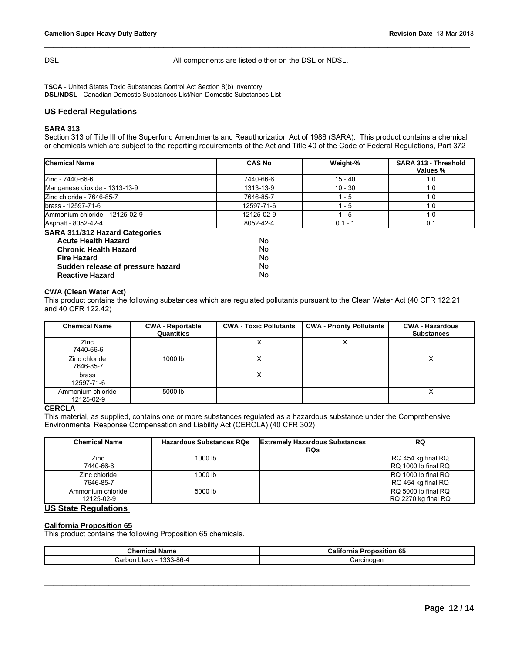DSL DSL All components are listed either on the DSL or NDSL.

\_\_\_\_\_\_\_\_\_\_\_\_\_\_\_\_\_\_\_\_\_\_\_\_\_\_\_\_\_\_\_\_\_\_\_\_\_\_\_\_\_\_\_\_\_\_\_\_\_\_\_\_\_\_\_\_\_\_\_\_\_\_\_\_\_\_\_\_\_\_\_\_\_\_\_\_\_\_\_\_\_\_\_\_\_\_\_\_\_\_\_\_\_

**TSCA** - United States Toxic Substances Control Act Section 8(b) Inventory **DSL/NDSL** - Canadian Domestic Substances List/Non-Domestic Substances List

### **US Federal Regulations**

### **SARA 313**

Section 313 of Title III of the Superfund Amendments and Reauthorization Act of 1986 (SARA). This product contains a chemical or chemicals which are subject to the reporting requirements of the Act and Title 40 of the Code of Federal Regulations, Part 372

| <b>Chemical Name</b>                                                                                                                                                                                                     |                                       | <b>CAS No</b>                             | Weight-%                                                                                                                     | SARA 313 - Threshold<br>Values %            |
|--------------------------------------------------------------------------------------------------------------------------------------------------------------------------------------------------------------------------|---------------------------------------|-------------------------------------------|------------------------------------------------------------------------------------------------------------------------------|---------------------------------------------|
| Zinc - 7440-66-6                                                                                                                                                                                                         |                                       | 7440-66-6                                 | 15 - 40                                                                                                                      | 1.0                                         |
| Manganese dioxide - 1313-13-9                                                                                                                                                                                            |                                       | 1313-13-9                                 | $10 - 30$                                                                                                                    | 1.0                                         |
| Zinc chloride - 7646-85-7                                                                                                                                                                                                |                                       | 7646-85-7                                 | 1 - 5                                                                                                                        | 1.0                                         |
| lbrass - 12597-71-6                                                                                                                                                                                                      |                                       | 12597-71-6                                | $1 - 5$                                                                                                                      | 1.0                                         |
| Ammonium chloride - 12125-02-9                                                                                                                                                                                           |                                       | 12125-02-9                                | $1 - 5$                                                                                                                      | 1.0                                         |
| Asphalt - 8052-42-4                                                                                                                                                                                                      |                                       | 8052-42-4                                 | $0.1 - 1$                                                                                                                    | 0.1                                         |
| <b>SARA 311/312 Hazard Categories</b><br><b>Acute Health Hazard</b><br><b>Chronic Health Hazard</b><br><b>Fire Hazard</b><br>Sudden release of pressure hazard<br><b>Reactive Hazard</b><br><b>CWA (Clean Water Act)</b> |                                       | N <sub>o</sub><br>No.<br>No<br>No.<br>No. | This product contains the following substances which are regulated pollutants pursuant to the Clean Water Act (40 CFR 122.21 |                                             |
| and 40 CFR 122.42)                                                                                                                                                                                                       |                                       |                                           |                                                                                                                              |                                             |
| <b>Chemical Name</b>                                                                                                                                                                                                     | <b>CWA - Reportable</b><br>Quantities | <b>CWA - Toxic Pollutants</b>             | <b>CWA - Priority Pollutants</b>                                                                                             | <b>CWA - Hazardous</b><br><b>Substances</b> |
| Zinc<br>7440-66-6                                                                                                                                                                                                        |                                       | X                                         | X                                                                                                                            |                                             |

### **CWA (Clean Water Act)**

| <b>Chemical Name</b>            | <b>CWA - Reportable</b><br>Quantities                                                                                                                                                                 | <b>CWA - Toxic Pollutants</b> | <b>CWA - Priority Pollutants</b>                    | <b>CWA - Hazardous</b><br><b>Substances</b> |
|---------------------------------|-------------------------------------------------------------------------------------------------------------------------------------------------------------------------------------------------------|-------------------------------|-----------------------------------------------------|---------------------------------------------|
| Zinc<br>7440-66-6               |                                                                                                                                                                                                       | X                             | X                                                   |                                             |
| Zinc chloride<br>7646-85-7      | 1000 lb                                                                                                                                                                                               | Χ                             |                                                     | x                                           |
| brass<br>12597-71-6             |                                                                                                                                                                                                       | X                             |                                                     |                                             |
| Ammonium chloride<br>12125-02-9 | 5000 lb                                                                                                                                                                                               |                               |                                                     | X                                           |
| <b>CERCLA</b>                   | This material, as supplied, contains one or more substances regulated as a hazardous substance under the Comprehensive<br>Environmental Response Compensation and Liability Act (CERCLA) (40 CFR 302) |                               |                                                     |                                             |
| <b>Chemical Name</b>            | <b>Hazardous Substances RQs</b>                                                                                                                                                                       |                               | <b>Extremely Hazardous Substances</b><br><b>RQs</b> | <b>RQ</b>                                   |
| Zinc<br>7440-66-6               | 1000 lb                                                                                                                                                                                               |                               |                                                     | RQ 454 kg final RQ<br>RQ 1000 lb final RQ   |

### **CERCLA**

| <b>Chemical Name</b>            | <b>Hazardous Substances RQs</b> | <b>Extremely Hazardous Substances</b><br><b>RQs</b> | <b>RQ</b>                                  |
|---------------------------------|---------------------------------|-----------------------------------------------------|--------------------------------------------|
| Zinc<br>7440-66-6               | 1000 lb                         |                                                     | RQ 454 kg final RQ<br>RQ 1000 lb final RQ  |
| Zinc chloride<br>7646-85-7      | 1000 lb                         |                                                     | RQ 1000 lb final RQ<br>RQ 454 kg final RQ  |
| Ammonium chloride<br>12125-02-9 | 5000 lb                         |                                                     | RQ 5000 lb final RQ<br>RQ 2270 kg final RQ |

### **US State Regulations**

### **California Proposition 65**

This product contains the following Proposition 65 chemicals.

| $R_{h}$                                                 | California            |
|---------------------------------------------------------|-----------------------|
| Name                                                    | . .                   |
| Chemical                                                | roposition 65         |
| `3-86-4<br>$\sim$<br>$'$ orbor<br>. black<br>⇒arbon<br> | :arcinogen<br>$\cdot$ |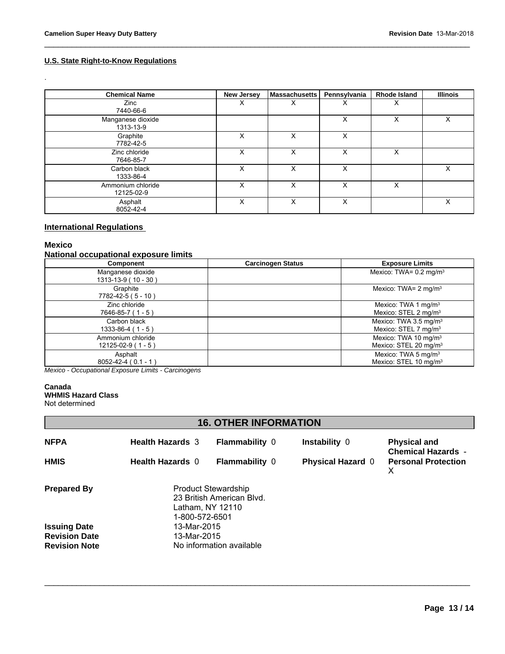### **U.S. State Right-to-Know Regulations**

| <b>Camelion Super Heavy Duty Battery</b><br>Revision Date 13-Mar-2018 |                   |                      |              |                     |                 |  |
|-----------------------------------------------------------------------|-------------------|----------------------|--------------|---------------------|-----------------|--|
| U.S. State Right-to-Know Regulations<br>$\ddot{\phantom{0}}$          |                   |                      |              |                     |                 |  |
| <b>Chemical Name</b>                                                  | <b>New Jersey</b> | <b>Massachusetts</b> | Pennsylvania | <b>Rhode Island</b> | <b>Illinois</b> |  |
| Zinc<br>7440-66-6                                                     | X                 | $\times$             | $\times$     | $\times$            |                 |  |
| Manganese dioxide<br>1313-13-9                                        |                   |                      | X            | $\times$            | $\mathsf{X}$    |  |
| Graphite<br>7782-42-5                                                 | X                 | $\mathsf{X}$         | X            |                     |                 |  |
| Zinc chloride<br>7646-85-7                                            | X                 | $\mathsf{X}$         | X            | $\mathsf{X}$        |                 |  |
| Carbon black<br>1333-86-4                                             | X                 | $\mathsf{X}$         | X            |                     | $\mathsf{X}$    |  |
| Ammonium chloride<br>12125-02-9                                       | X                 | $\mathsf{X}$         | X            | $\mathsf{X}$        |                 |  |
| Asphalt<br>8052-42-4                                                  | X                 | X                    | $\sf X$      |                     | X               |  |

### **International Regulations**

### **Mexico**

### **National occupational exposure limits**

|                                     | Component                                           | <b>Carcinogen Status</b>     |                          | <b>Exposure Limits</b>                                                |
|-------------------------------------|-----------------------------------------------------|------------------------------|--------------------------|-----------------------------------------------------------------------|
|                                     | Manganese dioxide<br>1313-13-9 (10 - 30)            |                              |                          | Mexico: TWA= $0.2 \text{ mg/m}^3$                                     |
|                                     | Graphite<br>7782-42-5 (5 - 10)                      |                              |                          | Mexico: TWA= $2 \text{ mg/m}^3$                                       |
|                                     | Zinc chloride<br>7646-85-7 (1 - 5)                  |                              |                          | Mexico: TWA 1 mg/m $3$<br>Mexico: STEL 2 mg/m <sup>3</sup>            |
|                                     | Carbon black<br>$1333-86-4(1-5)$                    |                              |                          | Mexico: TWA 3.5 mg/m $3$<br>Mexico: STEL 7 mg/m <sup>3</sup>          |
|                                     | Ammonium chloride<br>$12125-02-9(1-5)$              |                              |                          | Mexico: TWA 10 mg/m <sup>3</sup><br>Mexico: STEL 20 mg/m <sup>3</sup> |
|                                     | Asphalt<br>$8052 - 42 - 4 (0.1 - 1)$                |                              |                          | Mexico: TWA 5 mg/m <sup>3</sup><br>Mexico: STEL 10 mg/m <sup>3</sup>  |
| Canada<br><b>WHMIS Hazard Class</b> | Mexico - Occupational Exposure Limits - Carcinogens |                              |                          |                                                                       |
| Not determined                      |                                                     |                              |                          |                                                                       |
|                                     |                                                     | <b>16. OTHER INFORMATION</b> |                          |                                                                       |
| <b>NFPA</b>                         | <b>Health Hazards 3</b>                             | <b>Flammability 0</b>        | Instability 0            | <b>Physical and</b><br><b>Chemical Hazards -</b>                      |
| <b>HMIS</b>                         | Health Hazards 0                                    | $F$ lammability $\theta$     | <b>Physical Hazard</b> 0 | <b>Personal Protection</b>                                            |

### **Canada WHMIS Hazard Class**

| <b>NFPA</b>                                  | <b>Health Hazards 3</b>                                                                       | <b>Flammability 0</b>    | Instability 0            | <b>Physical and</b>                                          |  |
|----------------------------------------------|-----------------------------------------------------------------------------------------------|--------------------------|--------------------------|--------------------------------------------------------------|--|
| <b>HMIS</b>                                  | <b>Health Hazards 0</b>                                                                       | <b>Flammability 0</b>    | <b>Physical Hazard 0</b> | <b>Chemical Hazards -</b><br><b>Personal Protection</b><br>X |  |
| <b>Prepared By</b>                           | <b>Product Stewardship</b><br>23 British American Blvd.<br>Latham, NY 12110<br>1-800-572-6501 |                          |                          |                                                              |  |
| <b>Issuing Date</b>                          | 13-Mar-2015                                                                                   |                          |                          |                                                              |  |
| <b>Revision Date</b><br><b>Revision Note</b> | 13-Mar-2015                                                                                   | No information available |                          |                                                              |  |
|                                              |                                                                                               |                          |                          |                                                              |  |